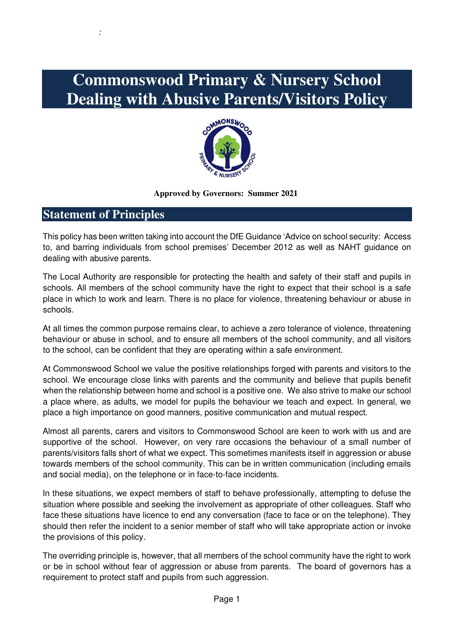# **Commonswood Primary & Nursery School Dealing with Abusive Parents/Visitors Policy**



#### **Approved by Governors: Summer 2021**

# **Statement of Principles**

:

This policy has been written taking into account the DfE Guidance 'Advice on school security: Access to, and barring individuals from school premises' December 2012 as well as NAHT guidance on dealing with abusive parents.

The Local Authority are responsible for protecting the health and safety of their staff and pupils in schools. All members of the school community have the right to expect that their school is a safe place in which to work and learn. There is no place for violence, threatening behaviour or abuse in schools.

At all times the common purpose remains clear, to achieve a zero tolerance of violence, threatening behaviour or abuse in school, and to ensure all members of the school community, and all visitors to the school, can be confident that they are operating within a safe environment.

At Commonswood School we value the positive relationships forged with parents and visitors to the school. We encourage close links with parents and the community and believe that pupils benefit when the relationship between home and school is a positive one. We also strive to make our school a place where, as adults, we model for pupils the behaviour we teach and expect. In general, we place a high importance on good manners, positive communication and mutual respect.

Almost all parents, carers and visitors to Commonswood School are keen to work with us and are supportive of the school. However, on very rare occasions the behaviour of a small number of parents/visitors falls short of what we expect. This sometimes manifests itself in aggression or abuse towards members of the school community. This can be in written communication (including emails and social media), on the telephone or in face-to-face incidents.

In these situations, we expect members of staff to behave professionally, attempting to defuse the situation where possible and seeking the involvement as appropriate of other colleagues. Staff who face these situations have licence to end any conversation (face to face or on the telephone). They should then refer the incident to a senior member of staff who will take appropriate action or invoke the provisions of this policy.

The overriding principle is, however, that all members of the school community have the right to work or be in school without fear of aggression or abuse from parents. The board of governors has a requirement to protect staff and pupils from such aggression.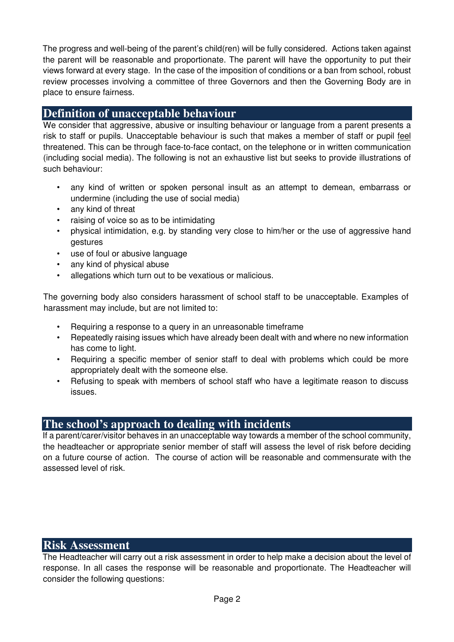The progress and well-being of the parent's child(ren) will be fully considered. Actions taken against the parent will be reasonable and proportionate. The parent will have the opportunity to put their views forward at every stage. In the case of the imposition of conditions or a ban from school, robust review processes involving a committee of three Governors and then the Governing Body are in place to ensure fairness.

# **Definition of unacceptable behaviour**

We consider that aggressive, abusive or insulting behaviour or language from a parent presents a risk to staff or pupils. Unacceptable behaviour is such that makes a member of staff or pupil feel threatened. This can be through face-to-face contact, on the telephone or in written communication (including social media). The following is not an exhaustive list but seeks to provide illustrations of such behaviour:

- any kind of written or spoken personal insult as an attempt to demean, embarrass or undermine (including the use of social media)
- any kind of threat
- raising of voice so as to be intimidating
- physical intimidation, e.g. by standing very close to him/her or the use of aggressive hand gestures
- use of foul or abusive language
- any kind of physical abuse
- allegations which turn out to be vexatious or malicious.

The governing body also considers harassment of school staff to be unacceptable. Examples of harassment may include, but are not limited to:

- Requiring a response to a query in an unreasonable timeframe
- Repeatedly raising issues which have already been dealt with and where no new information has come to light.
- Requiring a specific member of senior staff to deal with problems which could be more appropriately dealt with the someone else.
- Refusing to speak with members of school staff who have a legitimate reason to discuss issues.

# **The school's approach to dealing with incidents**

If a parent/carer/visitor behaves in an unacceptable way towards a member of the school community, the headteacher or appropriate senior member of staff will assess the level of risk before deciding on a future course of action. The course of action will be reasonable and commensurate with the assessed level of risk.

## **Risk Assessment**

The Headteacher will carry out a risk assessment in order to help make a decision about the level of response. In all cases the response will be reasonable and proportionate. The Headteacher will consider the following questions: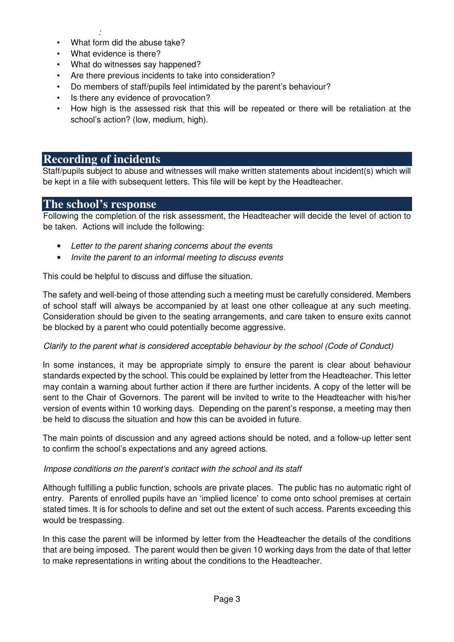- : • What form did the abuse take?
- What evidence is there?
- What do witnesses say happened?
- Are there previous incidents to take into consideration?
- Do members of staff/pupils feel intimidated by the parent's behaviour?
- Is there any evidence of provocation?
- How high is the assessed risk that this will be repeated or there will be retaliation at the school's action? (low, medium, high).

## **Recording of incidents**

Staff/pupils subject to abuse and witnesses will make written statements about incident(s) which will be kept in a file with subsequent letters. This file will be kept by the Headteacher.

## **The school's response**

Following the completion of the risk assessment, the Headteacher will decide the level of action to be taken. Actions will include the following:

- Letter to the parent sharing concerns about the events
- Invite the parent to an informal meeting to discuss events

This could be helpful to discuss and diffuse the situation.

The safety and well-being of those attending such a meeting must be carefully considered. Members of school staff will always be accompanied by at least one other colleague at any such meeting. Consideration should be given to the seating arrangements, and care taken to ensure exits cannot be blocked by a parent who could potentially become aggressive.

## Clarify to the parent what is considered acceptable behaviour by the school (Code of Conduct)

In some instances, it may be appropriate simply to ensure the parent is clear about behaviour standards expected by the school. This could be explained by letter from the Headteacher. This letter may contain a warning about further action if there are further incidents. A copy of the letter will be sent to the Chair of Governors. The parent will be invited to write to the Headteacher with his/her version of events within 10 working days. Depending on the parent's response, a meeting may then be held to discuss the situation and how this can be avoided in future.

The main points of discussion and any agreed actions should be noted, and a follow-up letter sent to confirm the school's expectations and any agreed actions.

## Impose conditions on the parent's contact with the school and its staff

Although fulfilling a public function, schools are private places. The public has no automatic right of entry. Parents of enrolled pupils have an 'implied licence' to come onto school premises at certain stated times. It is for schools to define and set out the extent of such access. Parents exceeding this would be trespassing.

In this case the parent will be informed by letter from the Headteacher the details of the conditions that are being imposed. The parent would then be given 10 working days from the date of that letter to make representations in writing about the conditions to the Headteacher.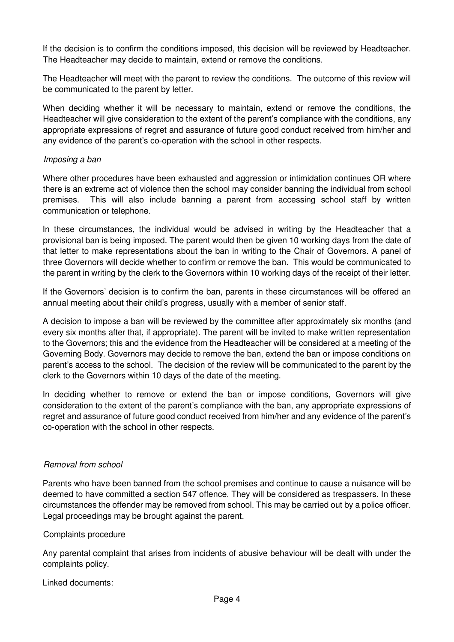If the decision is to confirm the conditions imposed, this decision will be reviewed by Headteacher. The Headteacher may decide to maintain, extend or remove the conditions.

The Headteacher will meet with the parent to review the conditions. The outcome of this review will be communicated to the parent by letter.

When deciding whether it will be necessary to maintain, extend or remove the conditions, the Headteacher will give consideration to the extent of the parent's compliance with the conditions, any appropriate expressions of regret and assurance of future good conduct received from him/her and any evidence of the parent's co-operation with the school in other respects.

### Imposing a ban

Where other procedures have been exhausted and aggression or intimidation continues OR where there is an extreme act of violence then the school may consider banning the individual from school premises. This will also include banning a parent from accessing school staff by written communication or telephone.

In these circumstances, the individual would be advised in writing by the Headteacher that a provisional ban is being imposed. The parent would then be given 10 working days from the date of that letter to make representations about the ban in writing to the Chair of Governors. A panel of three Governors will decide whether to confirm or remove the ban. This would be communicated to the parent in writing by the clerk to the Governors within 10 working days of the receipt of their letter.

If the Governors' decision is to confirm the ban, parents in these circumstances will be offered an annual meeting about their child's progress, usually with a member of senior staff.

A decision to impose a ban will be reviewed by the committee after approximately six months (and every six months after that, if appropriate). The parent will be invited to make written representation to the Governors; this and the evidence from the Headteacher will be considered at a meeting of the Governing Body. Governors may decide to remove the ban, extend the ban or impose conditions on parent's access to the school. The decision of the review will be communicated to the parent by the clerk to the Governors within 10 days of the date of the meeting.

In deciding whether to remove or extend the ban or impose conditions, Governors will give consideration to the extent of the parent's compliance with the ban, any appropriate expressions of regret and assurance of future good conduct received from him/her and any evidence of the parent's co-operation with the school in other respects.

## Removal from school

Parents who have been banned from the school premises and continue to cause a nuisance will be deemed to have committed a section 547 offence. They will be considered as trespassers. In these circumstances the offender may be removed from school. This may be carried out by a police officer. Legal proceedings may be brought against the parent.

#### Complaints procedure

Any parental complaint that arises from incidents of abusive behaviour will be dealt with under the complaints policy.

Linked documents: